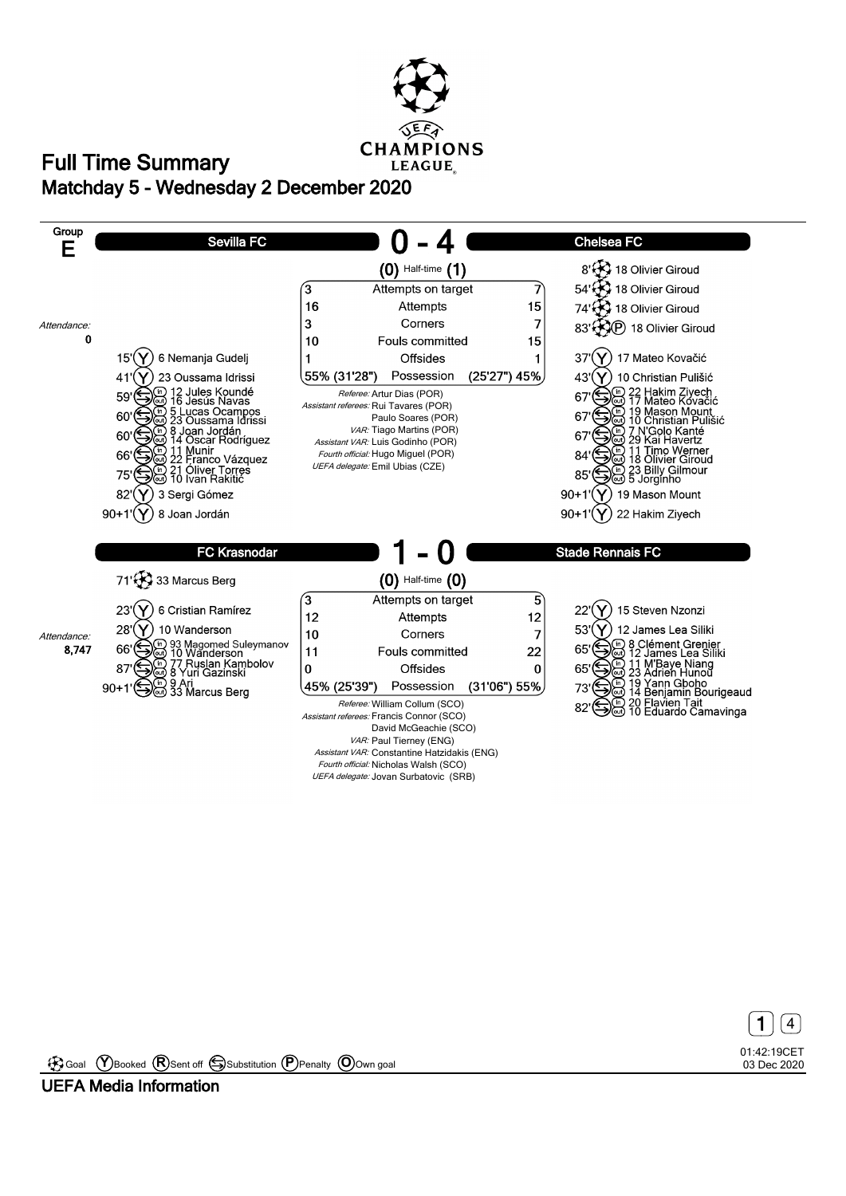



01:42:19CET 03 Dec 2020 **1** 4

Goal **Y** Booked **R** Sent off Substitution **P** Penalty **O** Own goal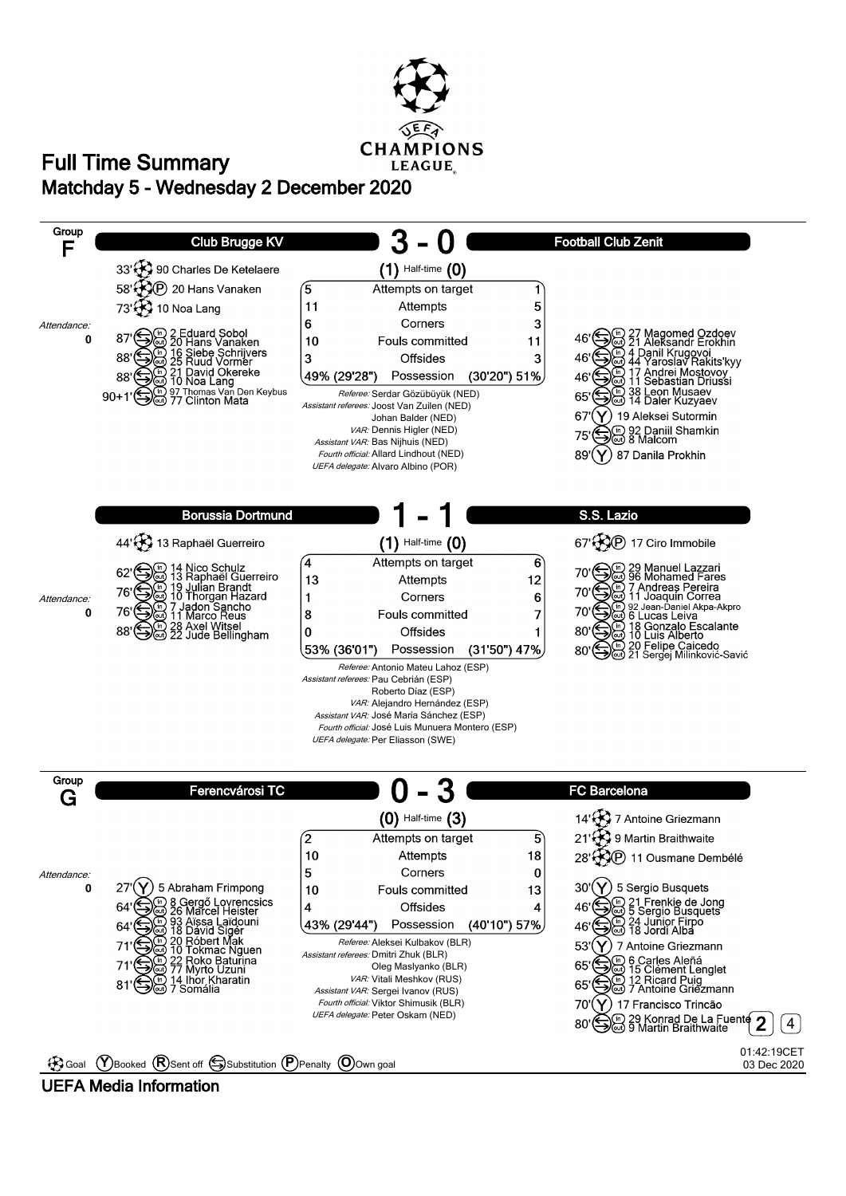

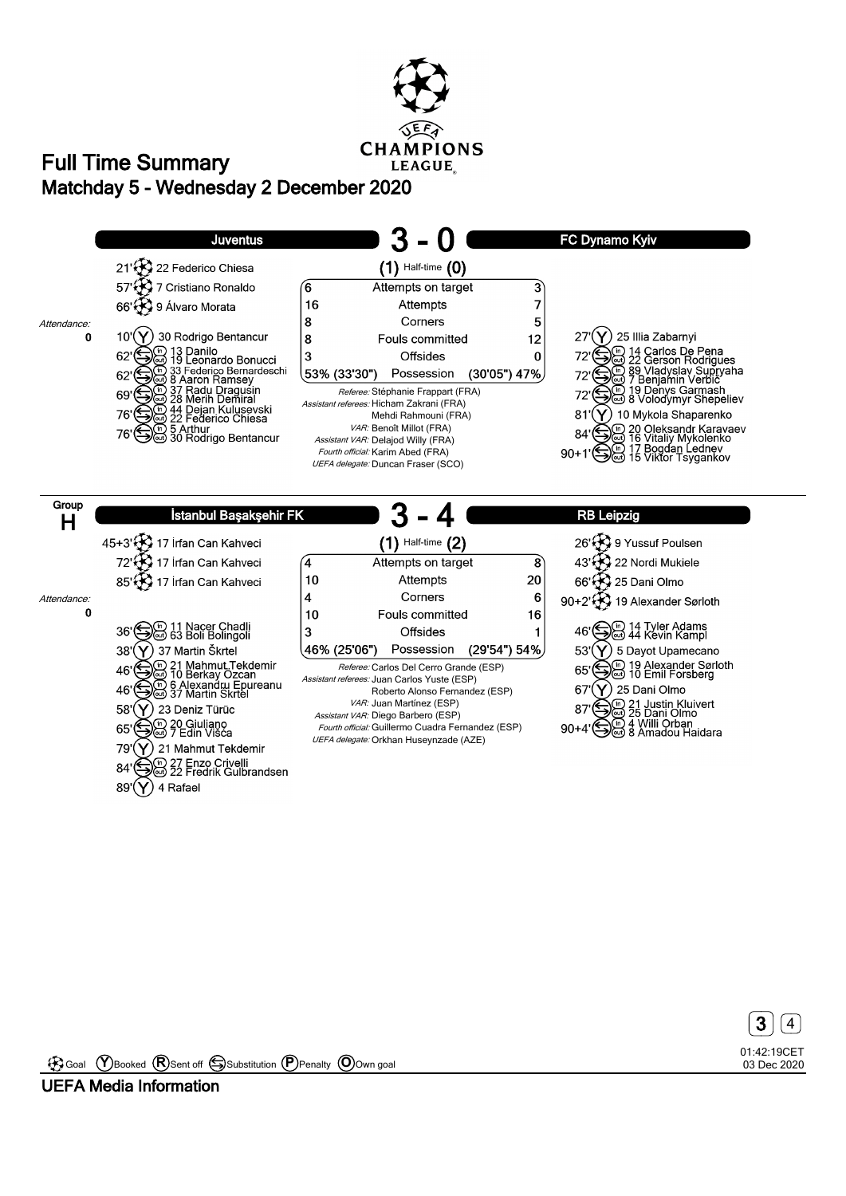





Goal **Y** Booked **R** Sent off Substitution **P** Penalty **O** Own goal